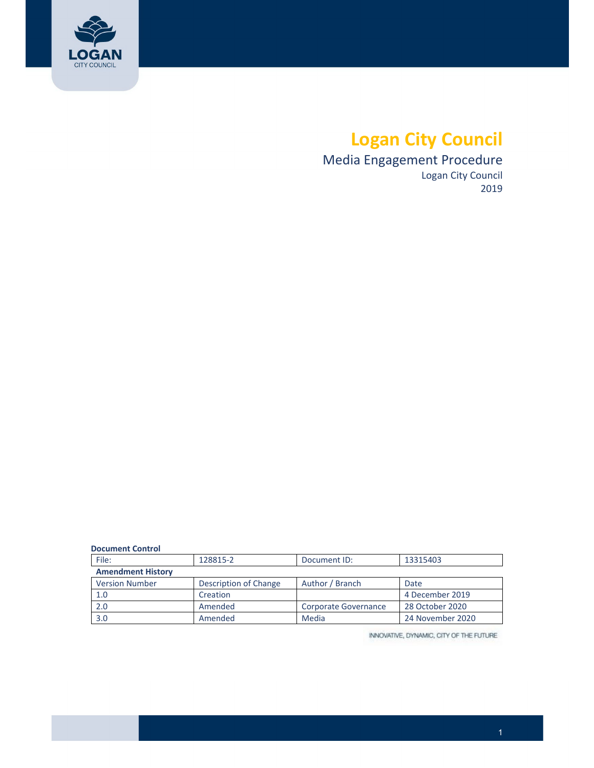

# **Logan City Council**

 Media Engagement Procedure Logan City Council 2019

| <b>Document Control</b> |  |
|-------------------------|--|
|                         |  |

| File:                    | 128815-2              | Document ID:         | 13315403         |  |
|--------------------------|-----------------------|----------------------|------------------|--|
| <b>Amendment History</b> |                       |                      |                  |  |
| <b>Version Number</b>    | Description of Change | Author / Branch      | Date             |  |
| 1.0                      | Creation              |                      | 4 December 2019  |  |
| 2.0                      | Amended               | Corporate Governance | 28 October 2020  |  |
| 3.0                      | Amended               | Media                | 24 November 2020 |  |

INNOVATIVE, DYNAMIC, CITY OF THE FUTURE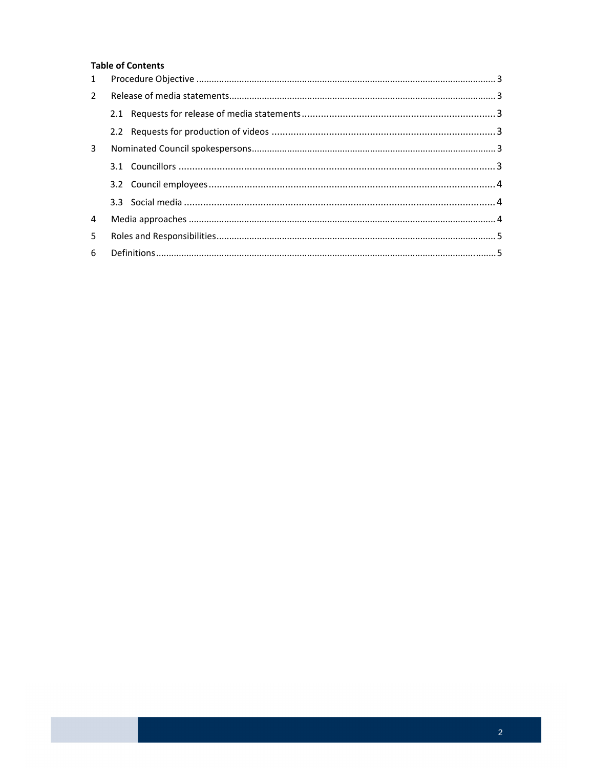### **Table of Contents**

| 1           |  |  |  |  |
|-------------|--|--|--|--|
| $2^{\circ}$ |  |  |  |  |
|             |  |  |  |  |
|             |  |  |  |  |
| 3           |  |  |  |  |
|             |  |  |  |  |
|             |  |  |  |  |
|             |  |  |  |  |
| 4           |  |  |  |  |
| 5           |  |  |  |  |
| 6           |  |  |  |  |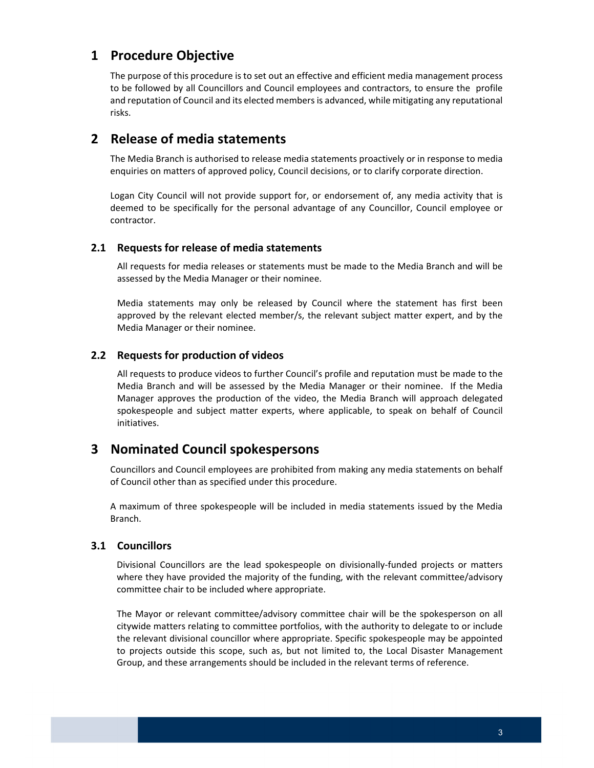# <span id="page-2-0"></span> **1 Procedure Objective**

 The purpose of this procedure is to set out an effective and efficient media management process to be followed by all Councillors and Council employees and contractors, to ensure the profile and reputation of Council and its elected members is advanced, while mitigating any reputational risks.

# **2 Release of media statements**

 The Media Branch is authorised to release media statements proactively or in response to media enquiries on matters of approved policy, Council decisions, or to clarify corporate direction.

 Logan City Council will not provide support for, or endorsement of, any media activity that is deemed to be specifically for the personal advantage of any Councillor, Council employee or contractor.

### **2.1 Requests for release of media statements**

 All requests for media releases or statements must be made to the Media Branch and will be assessed by the Media Manager or their nominee.

 Media statements may only be released by Council where the statement has first been approved by the relevant elected member/s, the relevant subject matter expert, and by the Media Manager or their nominee.

### **2.2 Requests for production of videos**

 All requests to produce videos to further Council's profile and reputation must be made to the Media Branch and will be assessed by the Media Manager or their nominee. If the Media Manager approves the production of the video, the Media Branch will approach delegated spokespeople and subject matter experts, where applicable, to speak on behalf of Council initiatives.

# **3 Nominated Council spokespersons**

 Councillors and Council employees are prohibited from making any media statements on behalf of Council other than as specified under this procedure.

 A maximum of three spokespeople will be included in media statements issued by the Media Branch.

#### **3.1 Councillors**

 Divisional Councillors are the lead spokespeople on divisionally‐funded projects or matters where they have provided the majority of the funding, with the relevant committee/advisory committee chair to be included where appropriate.

 The Mayor or relevant committee/advisory committee chair will be the spokesperson on all citywide matters relating to committee portfolios, with the authority to delegate to or include the relevant divisional councillor where appropriate. Specific spokespeople may be appointed to projects outside this scope, such as, but not limited to, the Local Disaster Management Group, and these arrangements should be included in the relevant terms of reference.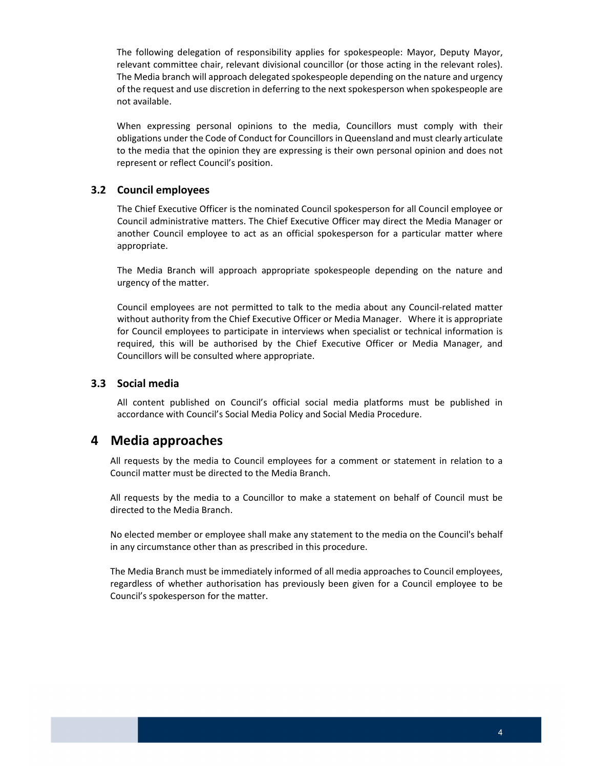<span id="page-3-0"></span> The following delegation of responsibility applies for spokespeople: Mayor, Deputy Mayor, relevant committee chair, relevant divisional councillor (or those acting in the relevant roles). The Media branch will approach delegated spokespeople depending on the nature and urgency of the request and use discretion in deferring to the next spokesperson when spokespeople are not available.

 When expressing personal opinions to the media, Councillors must comply with their obligations under the Code of Conduct for Councillors in Queensland and must clearly articulate to the media that the opinion they are expressing is their own personal opinion and does not represent or reflect Council's position.

### **3.2 Council employees**

 The Chief Executive Officer is the nominated Council spokesperson for all Council employee or Council administrative matters. The Chief Executive Officer may direct the Media Manager or another Council employee to act as an official spokesperson for a particular matter where appropriate.

 The Media Branch will approach appropriate spokespeople depending on the nature and urgency of the matter.

 Council employees are not permitted to talk to the media about any Council‐related matter without authority from the Chief Executive Officer or Media Manager. Where it is appropriate for Council employees to participate in interviews when specialist or technical information is required, this will be authorised by the Chief Executive Officer or Media Manager, and Councillors will be consulted where appropriate.

### **3.3 Social media**

 All content published on Council's official social media platforms must be published in accordance with Council's Social Media Policy and Social Media Procedure.

# **4 Media approaches**

 All requests by the media to Council employees for a comment or statement in relation to a Council matter must be directed to the Media Branch.

 All requests by the media to a Councillor to make a statement on behalf of Council must be directed to the Media Branch.

 No elected member or employee shall make any statement to the media on the Council's behalf in any circumstance other than as prescribed in this procedure.

 The Media Branch must be immediately informed of all media approaches to Council employees, regardless of whether authorisation has previously been given for a Council employee to be Council's spokesperson for the matter.